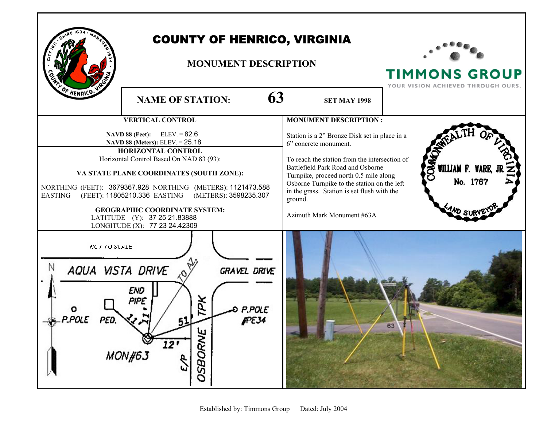|                                                                                                                                                                                                                                                                                                                                                                                                                                          | <b>COUNTY OF HENRICO, VIRGINIA</b><br><b>MONUMENT DESCRIPTION</b>                       |                                                                                                                                                                                                                                                                                                                                               | <b>TIMMONS GROUP</b><br>YOUR VISION ACHIEVED THROUGH OURS. |
|------------------------------------------------------------------------------------------------------------------------------------------------------------------------------------------------------------------------------------------------------------------------------------------------------------------------------------------------------------------------------------------------------------------------------------------|-----------------------------------------------------------------------------------------|-----------------------------------------------------------------------------------------------------------------------------------------------------------------------------------------------------------------------------------------------------------------------------------------------------------------------------------------------|------------------------------------------------------------|
| OF HENRICO                                                                                                                                                                                                                                                                                                                                                                                                                               | 63<br><b>NAME OF STATION:</b>                                                           | <b>SET MAY 1998</b>                                                                                                                                                                                                                                                                                                                           |                                                            |
|                                                                                                                                                                                                                                                                                                                                                                                                                                          | <b>VERTICAL CONTROL</b>                                                                 | <b>MONUMENT DESCRIPTION:</b>                                                                                                                                                                                                                                                                                                                  |                                                            |
| $ELEV = 82.6$<br><b>NAVD 88 (Feet):</b><br>NAVD 88 (Meters): ELEV. = 25.18<br>HORIZONTAL CONTROL<br>Horizontal Control Based On NAD 83 (93):<br>VA STATE PLANE COORDINATES (SOUTH ZONE):<br>NORTHING (FEET): 3679367.928 NORTHING (METERS): 1121473.588<br><b>EASTING</b><br>(FEET): 11805210.336 EASTING (METERS): 3598235.307<br><b>GEOGRAPHIC COORDINATE SYSTEM:</b><br>LATITUDE (Y): 37 25 21.83888<br>LONGITUDE (X): 77 23 24.42309 |                                                                                         | Station is a 2" Bronze Disk set in place in a<br>6" concrete monument.<br>To reach the station from the intersection of<br>Battlefield Park Road and Osborne<br>Turnpike, proceed north 0.5 mile along<br>Osborne Turnpike to the station on the left<br>in the grass. Station is set flush with the<br>ground.<br>Azimuth Mark Monument #63A | <b>DARK</b><br>WILLIAM F. WARE, JR<br>No. 1767<br>AND SUR  |
| NOT TO SCALE<br>AQUA VISTA DRIVE                                                                                                                                                                                                                                                                                                                                                                                                         | <b>GRAVEL DRIVE</b><br>END<br>PIPE<br>ŢРK<br>P.POLE<br><b>IPE34</b><br>SBORNE<br>MON#63 |                                                                                                                                                                                                                                                                                                                                               | 63                                                         |

Г